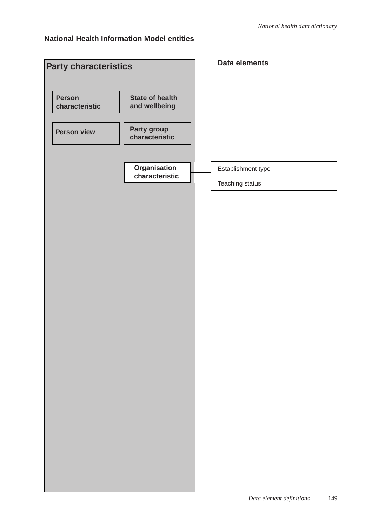#### **National Health Information Model entities**

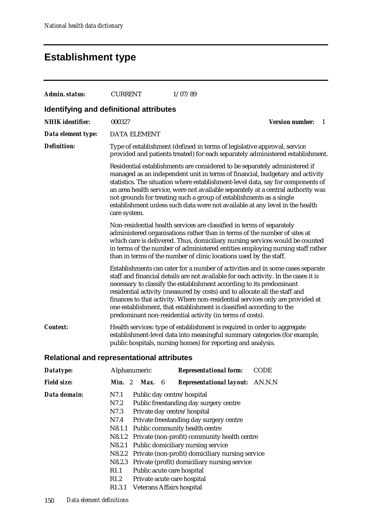### **Establishment type**

| <b>Admin. status:</b>                             | <b>CURRENT</b>                                                                                                                                                                                                                                                                                                                                                                                                                                                                                                                                                                                                                                                         | 1/07/89                                                                                                                                                                                                                                                                                                                                                                                                                                                                                                                                            |                              |  |  |
|---------------------------------------------------|------------------------------------------------------------------------------------------------------------------------------------------------------------------------------------------------------------------------------------------------------------------------------------------------------------------------------------------------------------------------------------------------------------------------------------------------------------------------------------------------------------------------------------------------------------------------------------------------------------------------------------------------------------------------|----------------------------------------------------------------------------------------------------------------------------------------------------------------------------------------------------------------------------------------------------------------------------------------------------------------------------------------------------------------------------------------------------------------------------------------------------------------------------------------------------------------------------------------------------|------------------------------|--|--|
| Identifying and definitional attributes           |                                                                                                                                                                                                                                                                                                                                                                                                                                                                                                                                                                                                                                                                        |                                                                                                                                                                                                                                                                                                                                                                                                                                                                                                                                                    |                              |  |  |
| <b>NHIK</b> identifier:                           | 000327                                                                                                                                                                                                                                                                                                                                                                                                                                                                                                                                                                                                                                                                 |                                                                                                                                                                                                                                                                                                                                                                                                                                                                                                                                                    | <b>Version number:</b><br>-1 |  |  |
| Data element type:                                | <b>DATA ELEMENT</b>                                                                                                                                                                                                                                                                                                                                                                                                                                                                                                                                                                                                                                                    |                                                                                                                                                                                                                                                                                                                                                                                                                                                                                                                                                    |                              |  |  |
| <b>Definition:</b>                                | Type of establishment (defined in terms of legislative approval, service<br>provided and patients treated) for each separately administered establishment.<br>Residential establishments are considered to be separately administered if<br>managed as an independent unit in terms of financial, budgetary and activity<br>statistics. The situation where establishment-level data, say for components of<br>an area health service, were not available separately at a central authority was<br>not grounds for treating such a group of establishments as a single<br>establishment unless such data were not available at any level in the health<br>care system. |                                                                                                                                                                                                                                                                                                                                                                                                                                                                                                                                                    |                              |  |  |
|                                                   |                                                                                                                                                                                                                                                                                                                                                                                                                                                                                                                                                                                                                                                                        |                                                                                                                                                                                                                                                                                                                                                                                                                                                                                                                                                    |                              |  |  |
|                                                   |                                                                                                                                                                                                                                                                                                                                                                                                                                                                                                                                                                                                                                                                        | Non-residential health services are classified in terms of separately<br>administered organisations rather than in terms of the number of sites at<br>which care is delivered. Thus, domiciliary nursing services would be counted<br>in terms of the number of administered entities employing nursing staff rather<br>than in terms of the number of clinic locations used by the staff.                                                                                                                                                         |                              |  |  |
|                                                   |                                                                                                                                                                                                                                                                                                                                                                                                                                                                                                                                                                                                                                                                        | Establishments can cater for a number of activities and in some cases separate<br>staff and financial details are not available for each activity. In the cases it is<br>necessary to classify the establishment according to its predominant<br>residential activity (measured by costs) and to allocate all the staff and<br>finances to that activity. Where non-residential services only are provided at<br>one establishment, that establishment is classified according to the<br>predominant non-residential activity (in terms of costs). |                              |  |  |
| Context:                                          | Health services: type of establishment is required in order to aggregate<br>establishment-level data into meaningful summary categories (for example,<br>public hospitals, nursing homes) for reporting and analysis.                                                                                                                                                                                                                                                                                                                                                                                                                                                  |                                                                                                                                                                                                                                                                                                                                                                                                                                                                                                                                                    |                              |  |  |
| <b>Relational and representational attributes</b> |                                                                                                                                                                                                                                                                                                                                                                                                                                                                                                                                                                                                                                                                        |                                                                                                                                                                                                                                                                                                                                                                                                                                                                                                                                                    |                              |  |  |
| Datatype:                                         | Alphanumeric                                                                                                                                                                                                                                                                                                                                                                                                                                                                                                                                                                                                                                                           | <b>Representational form:</b>                                                                                                                                                                                                                                                                                                                                                                                                                                                                                                                      | CODE                         |  |  |
| <b>Field size:</b>                                | Min. 2<br>Max. 6                                                                                                                                                                                                                                                                                                                                                                                                                                                                                                                                                                                                                                                       | <b>Representational layout:</b>                                                                                                                                                                                                                                                                                                                                                                                                                                                                                                                    | AN.N.N                       |  |  |
| Data domain:                                      | N7.1<br>Public day centre/hospital<br>N7.2<br>N7.3<br>Private day centre/hospital<br>N7.4<br>N8.1.1                                                                                                                                                                                                                                                                                                                                                                                                                                                                                                                                                                    | Public freestanding day surgery centre<br>Private freestanding day surgery centre<br>Public community health centre<br>N8.1.2 Private (non-profit) community health centre                                                                                                                                                                                                                                                                                                                                                                         |                              |  |  |

- N8.2.1 Public domiciliary nursing service
- N8.2.2 Private (non-profit) domiciliary nursing service
- N8.2.3 Private (profit) domiciliary nursing service
- R1.1 Public acute care hospital
- R1.2 Private acute care hospital
- R1.3.1 Veterans Affairs hospital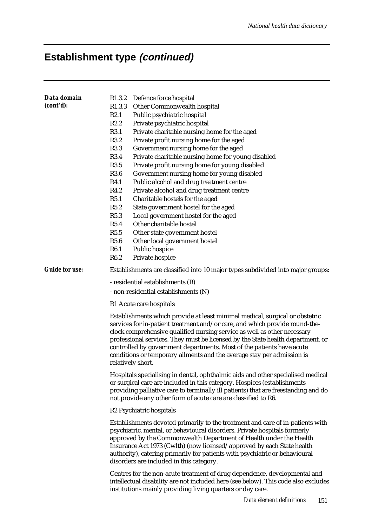| Data domain           | R <sub>1.3.2</sub> | Defence force hospital                                                                                                                                                                                                                                                                                                                                                                                                                                                                             |  |  |
|-----------------------|--------------------|----------------------------------------------------------------------------------------------------------------------------------------------------------------------------------------------------------------------------------------------------------------------------------------------------------------------------------------------------------------------------------------------------------------------------------------------------------------------------------------------------|--|--|
| (cont'd):             | R <sub>1.3.3</sub> | Other Commonwealth hospital                                                                                                                                                                                                                                                                                                                                                                                                                                                                        |  |  |
|                       | R2.1               | Public psychiatric hospital                                                                                                                                                                                                                                                                                                                                                                                                                                                                        |  |  |
|                       | R2.2               | Private psychiatric hospital                                                                                                                                                                                                                                                                                                                                                                                                                                                                       |  |  |
|                       | R3.1               | Private charitable nursing home for the aged                                                                                                                                                                                                                                                                                                                                                                                                                                                       |  |  |
|                       | R3.2               | Private profit nursing home for the aged                                                                                                                                                                                                                                                                                                                                                                                                                                                           |  |  |
|                       | R3.3               | Government nursing home for the aged                                                                                                                                                                                                                                                                                                                                                                                                                                                               |  |  |
|                       | R3.4               | Private charitable nursing home for young disabled                                                                                                                                                                                                                                                                                                                                                                                                                                                 |  |  |
|                       | R3.5               | Private profit nursing home for young disabled                                                                                                                                                                                                                                                                                                                                                                                                                                                     |  |  |
|                       | R3.6               | Government nursing home for young disabled                                                                                                                                                                                                                                                                                                                                                                                                                                                         |  |  |
|                       | R4.1               | Public alcohol and drug treatment centre                                                                                                                                                                                                                                                                                                                                                                                                                                                           |  |  |
|                       | R4.2               | Private alcohol and drug treatment centre                                                                                                                                                                                                                                                                                                                                                                                                                                                          |  |  |
|                       | R5.1               | Charitable hostels for the aged                                                                                                                                                                                                                                                                                                                                                                                                                                                                    |  |  |
|                       | R5.2               | State government hostel for the aged                                                                                                                                                                                                                                                                                                                                                                                                                                                               |  |  |
|                       | R5.3               | Local government hostel for the aged                                                                                                                                                                                                                                                                                                                                                                                                                                                               |  |  |
|                       | R5.4               | Other charitable hostel                                                                                                                                                                                                                                                                                                                                                                                                                                                                            |  |  |
|                       | R5.5               | Other state government hostel                                                                                                                                                                                                                                                                                                                                                                                                                                                                      |  |  |
|                       | R5.6               | Other local government hostel                                                                                                                                                                                                                                                                                                                                                                                                                                                                      |  |  |
|                       | R6.1               | Public hospice                                                                                                                                                                                                                                                                                                                                                                                                                                                                                     |  |  |
|                       | R6.2               | Private hospice                                                                                                                                                                                                                                                                                                                                                                                                                                                                                    |  |  |
| <b>Guide for use:</b> |                    | Establishments are classified into 10 major types subdivided into major groups:                                                                                                                                                                                                                                                                                                                                                                                                                    |  |  |
|                       |                    | - residential establishments (R)                                                                                                                                                                                                                                                                                                                                                                                                                                                                   |  |  |
|                       |                    | - non-residential establishments (N)                                                                                                                                                                                                                                                                                                                                                                                                                                                               |  |  |
|                       |                    | R1 Acute care hospitals                                                                                                                                                                                                                                                                                                                                                                                                                                                                            |  |  |
|                       |                    | Establishments which provide at least minimal medical, surgical or obstetric<br>services for in-patient treatment and/or care, and which provide round-the-<br>clock comprehensive qualified nursing service as well as other necessary<br>professional services. They must be licensed by the State health department, or<br>controlled by government departments. Most of the patients have acute<br>conditions or temporary ailments and the average stay per admission is<br>relatively short. |  |  |
|                       |                    | Hospitals specialising in dental, ophthalmic aids and other specialised medical<br>or surgical care are included in this category. Hospices (establishments<br>providing palliative care to terminally ill patients) that are freestanding and do<br>not provide any other form of acute care are classified to R6.                                                                                                                                                                                |  |  |
|                       |                    | R <sub>2</sub> Psychiatric hospitals                                                                                                                                                                                                                                                                                                                                                                                                                                                               |  |  |
|                       |                    | Establishments devoted primarily to the treatment and care of in-patients with<br>psychiatric, mental, or behavioural disorders. Private hospitals formerly<br>approved by the Commonwealth Department of Health under the Health<br>Insurance Act 1973 (Cwlth) (now licensed/approved by each State health<br>authority), catering primarily for patients with psychiatric or behavioural<br>disorders are included in this category.                                                             |  |  |
|                       |                    | Centres for the non-acute treatment of drug dependence, developmental and<br>intellectual disability are not included here (see below). This code also excludes<br>institutions mainly providing living quarters or day care.                                                                                                                                                                                                                                                                      |  |  |
|                       |                    | Data element definitions 151                                                                                                                                                                                                                                                                                                                                                                                                                                                                       |  |  |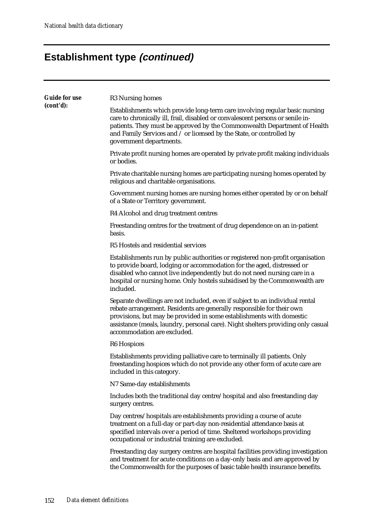| <b>Guide for use</b><br>(cont'd): | R <sub>3</sub> Nursing homes                                                                                                                                                                                                                                                                                                                     |
|-----------------------------------|--------------------------------------------------------------------------------------------------------------------------------------------------------------------------------------------------------------------------------------------------------------------------------------------------------------------------------------------------|
|                                   | Establishments which provide long-term care involving regular basic nursing<br>care to chronically ill, frail, disabled or convalescent persons or senile in-<br>patients. They must be approved by the Commonwealth Department of Health<br>and Family Services and / or licensed by the State, or controlled by<br>government departments.     |
|                                   | Private profit nursing homes are operated by private profit making individuals<br>or bodies.                                                                                                                                                                                                                                                     |
|                                   | Private charitable nursing homes are participating nursing homes operated by<br>religious and charitable organisations.                                                                                                                                                                                                                          |
|                                   | Government nursing homes are nursing homes either operated by or on behalf<br>of a State or Territory government.                                                                                                                                                                                                                                |
|                                   | R4 Alcohol and drug treatment centres                                                                                                                                                                                                                                                                                                            |
|                                   | Freestanding centres for the treatment of drug dependence on an in-patient<br>basis.                                                                                                                                                                                                                                                             |
|                                   | R5 Hostels and residential services                                                                                                                                                                                                                                                                                                              |
|                                   | Establishments run by public authorities or registered non-profit organisation<br>to provide board, lodging or accommodation for the aged, distressed or<br>disabled who cannot live independently but do not need nursing care in a<br>hospital or nursing home. Only hostels subsidised by the Commonwealth are<br>included.                   |
|                                   | Separate dwellings are not included, even if subject to an individual rental<br>rebate arrangement. Residents are generally responsible for their own<br>provisions, but may be provided in some establishments with domestic<br>assistance (meals, laundry, personal care). Night shelters providing only casual<br>accommodation are excluded. |
|                                   | R <sub>6</sub> Hospices                                                                                                                                                                                                                                                                                                                          |
|                                   | Establishments providing palliative care to terminally ill patients. Only<br>freestanding hospices which do not provide any other form of acute care are<br>included in this category.                                                                                                                                                           |
|                                   | N7 Same-day establishments                                                                                                                                                                                                                                                                                                                       |
|                                   | Includes both the traditional day centre/hospital and also freestanding day<br>surgery centres.                                                                                                                                                                                                                                                  |
|                                   | Day centres/hospitals are establishments providing a course of acute<br>treatment on a full-day or part-day non-residential attendance basis at<br>specified intervals over a period of time. Sheltered workshops providing<br>occupational or industrial training are excluded.                                                                 |
|                                   | Freestanding day surgery centres are hospital facilities providing investigation<br>and treatment for acute conditions on a day-only basis and are approved by<br>the Commonwealth for the purposes of basic table health insurance benefits.                                                                                                    |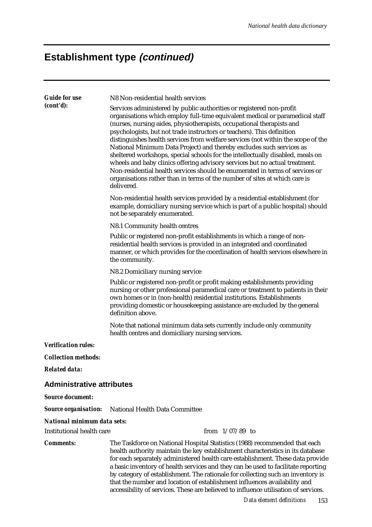| <b>Guide for use</b><br>(cont'd):  | N8 Non-residential health services<br>Services administered by public authorities or registered non-profit<br>organisations which employ full-time equivalent medical or paramedical staff<br>(nurses, nursing aides, physiotherapists, occupational therapists and<br>psychologists, but not trade instructors or teachers). This definition<br>distinguishes health services from welfare services (not within the scope of the<br>National Minimum Data Project) and thereby excludes such services as<br>sheltered workshops, special schools for the intellectually disabled, meals on |  |  |
|------------------------------------|---------------------------------------------------------------------------------------------------------------------------------------------------------------------------------------------------------------------------------------------------------------------------------------------------------------------------------------------------------------------------------------------------------------------------------------------------------------------------------------------------------------------------------------------------------------------------------------------|--|--|
|                                    | wheels and baby clinics offering advisory services but no actual treatment.<br>Non-residential health services should be enumerated in terms of services or<br>organisations rather than in terms of the number of sites at which care is<br>delivered.                                                                                                                                                                                                                                                                                                                                     |  |  |
|                                    | Non-residential health services provided by a residential establishment (for<br>example, domiciliary nursing service which is part of a public hospital) should<br>not be separately enumerated.                                                                                                                                                                                                                                                                                                                                                                                            |  |  |
|                                    | N8.1 Community health centres                                                                                                                                                                                                                                                                                                                                                                                                                                                                                                                                                               |  |  |
|                                    | Public or registered non-profit establishments in which a range of non-<br>residential health services is provided in an integrated and coordinated<br>manner, or which provides for the coordination of health services elsewhere in<br>the community.                                                                                                                                                                                                                                                                                                                                     |  |  |
|                                    | N8.2 Domiciliary nursing service                                                                                                                                                                                                                                                                                                                                                                                                                                                                                                                                                            |  |  |
|                                    | Public or registered non-profit or profit making establishments providing<br>nursing or other professional paramedical care or treatment to patients in their<br>own homes or in (non-health) residential institutions. Establishments<br>providing domestic or housekeeping assistance are excluded by the general<br>definition above.                                                                                                                                                                                                                                                    |  |  |
|                                    | Note that national minimum data sets currently include only community<br>health centres and domiciliary nursing services.                                                                                                                                                                                                                                                                                                                                                                                                                                                                   |  |  |
| <b>Verification rules:</b>         |                                                                                                                                                                                                                                                                                                                                                                                                                                                                                                                                                                                             |  |  |
| <b>Collection methods:</b>         |                                                                                                                                                                                                                                                                                                                                                                                                                                                                                                                                                                                             |  |  |
| <b>Related data:</b>               |                                                                                                                                                                                                                                                                                                                                                                                                                                                                                                                                                                                             |  |  |
| <b>Administrative attributes</b>   |                                                                                                                                                                                                                                                                                                                                                                                                                                                                                                                                                                                             |  |  |
| <b>Source document:</b>            |                                                                                                                                                                                                                                                                                                                                                                                                                                                                                                                                                                                             |  |  |
| <b>Source organisation:</b>        | National Health Data Committee                                                                                                                                                                                                                                                                                                                                                                                                                                                                                                                                                              |  |  |
| <b>National minimum data sets:</b> |                                                                                                                                                                                                                                                                                                                                                                                                                                                                                                                                                                                             |  |  |
| Institutional health care          | from $1/07/89$ to                                                                                                                                                                                                                                                                                                                                                                                                                                                                                                                                                                           |  |  |
| <b>Comments:</b>                   | The Taskforce on National Hospital Statistics (1988) recommended that each<br>health authority maintain the key establishment characteristics in its database<br>for each separately administered health care establishment. These data provide<br>a basic inventory of health services and they can be used to facilitate reporting<br>by category of establishment. The rationale for collecting such an inventory is<br>that the number and location of establishment influences availability and<br>accessibility of services. These are believed to influence utilisation of services. |  |  |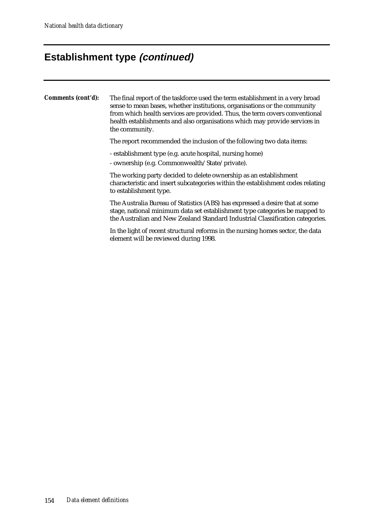**Comments (cont'd):** The final report of the taskforce used the term establishment in a very broad sense to mean bases, whether institutions, organisations or the community from which health services are provided. Thus, the term covers conventional health establishments and also organisations which may provide services in the community. The report recommended the inclusion of the following two data items: - establishment type (e.g. acute hospital, nursing home) - ownership (e.g. Commonwealth/State/private). The working party decided to delete ownership as an establishment characteristic and insert subcategories within the establishment codes relating to establishment type. The Australia Bureau of Statistics (ABS) has expressed a desire that at some stage, national minimum data set establishment type categories be mapped to

> In the light of recent structural reforms in the nursing homes sector, the data element will be reviewed during 1998.

the Australian and New Zealand Standard Industrial Classification categories.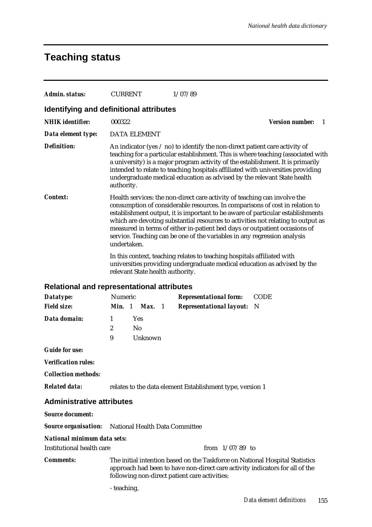# **Teaching status**

| <b>Admin. status:</b>                   | <b>CURRENT</b><br>1/07/89                                                                                                                                                                                                                                                                                                                                                                                                                                                                                |  |  |  |
|-----------------------------------------|----------------------------------------------------------------------------------------------------------------------------------------------------------------------------------------------------------------------------------------------------------------------------------------------------------------------------------------------------------------------------------------------------------------------------------------------------------------------------------------------------------|--|--|--|
| Identifying and definitional attributes |                                                                                                                                                                                                                                                                                                                                                                                                                                                                                                          |  |  |  |
| <b>NHIK</b> identifier:                 | 000322<br><b>Version number:</b><br>- 1                                                                                                                                                                                                                                                                                                                                                                                                                                                                  |  |  |  |
| Data element type:                      | <b>DATA ELEMENT</b>                                                                                                                                                                                                                                                                                                                                                                                                                                                                                      |  |  |  |
| <b>Definition:</b>                      | An indicator (yes $\ell$ no) to identify the non-direct patient care activity of<br>teaching for a particular establishment. This is where teaching (associated with<br>a university) is a major program activity of the establishment. It is primarily<br>intended to relate to teaching hospitals affiliated with universities providing<br>undergraduate medical education as advised by the relevant State health<br>authority.                                                                      |  |  |  |
| <i>Context:</i>                         | Health services: the non-direct care activity of teaching can involve the<br>consumption of considerable resources. In comparisons of cost in relation to<br>establishment output, it is important to be aware of particular establishments<br>which are devoting substantial resources to activities not relating to output as<br>measured in terms of either in-patient bed days or outpatient occasions of<br>service. Teaching can be one of the variables in any regression analysis<br>undertaken. |  |  |  |
|                                         | In this context, teaching relates to teaching hospitals affiliated with<br>universities providing undergraduate medical education as advised by the<br>relevant State health authority.                                                                                                                                                                                                                                                                                                                  |  |  |  |
|                                         | <b>Relational and representational attributes</b>                                                                                                                                                                                                                                                                                                                                                                                                                                                        |  |  |  |
| Datatype:                               | Numeric<br><b>CODE</b><br><b>Representational form:</b>                                                                                                                                                                                                                                                                                                                                                                                                                                                  |  |  |  |
| <b>Field size:</b>                      | Min. 1 Max. 1<br><b>Representational layout:</b><br>- N                                                                                                                                                                                                                                                                                                                                                                                                                                                  |  |  |  |
| Data domain:                            | 1<br>Yes                                                                                                                                                                                                                                                                                                                                                                                                                                                                                                 |  |  |  |
|                                         | $\boldsymbol{2}$<br>N <sub>0</sub>                                                                                                                                                                                                                                                                                                                                                                                                                                                                       |  |  |  |
|                                         | 9<br>Unknown                                                                                                                                                                                                                                                                                                                                                                                                                                                                                             |  |  |  |
| <b>Guide for use:</b>                   |                                                                                                                                                                                                                                                                                                                                                                                                                                                                                                          |  |  |  |
| <b>Verification rules:</b>              |                                                                                                                                                                                                                                                                                                                                                                                                                                                                                                          |  |  |  |
| <b>Collection methods:</b>              |                                                                                                                                                                                                                                                                                                                                                                                                                                                                                                          |  |  |  |
| <b>Related data:</b>                    | relates to the data element Establishment type, version 1                                                                                                                                                                                                                                                                                                                                                                                                                                                |  |  |  |
| <b>Administrative attributes</b>        |                                                                                                                                                                                                                                                                                                                                                                                                                                                                                                          |  |  |  |
| <b>Source document:</b>                 |                                                                                                                                                                                                                                                                                                                                                                                                                                                                                                          |  |  |  |
| <b>Source organisation:</b>             | National Health Data Committee                                                                                                                                                                                                                                                                                                                                                                                                                                                                           |  |  |  |
| National minimum data sets:             |                                                                                                                                                                                                                                                                                                                                                                                                                                                                                                          |  |  |  |
| Institutional health care               | from $1/07/89$ to                                                                                                                                                                                                                                                                                                                                                                                                                                                                                        |  |  |  |
| <b>Comments:</b>                        | The initial intention based on the Taskforce on National Hospital Statistics<br>approach had been to have non-direct care activity indicators for all of the<br>following non-direct patient care activities:                                                                                                                                                                                                                                                                                            |  |  |  |
|                                         |                                                                                                                                                                                                                                                                                                                                                                                                                                                                                                          |  |  |  |

- teaching,